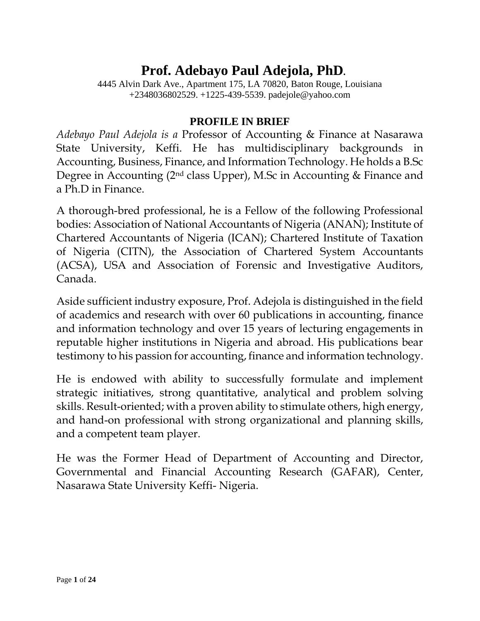# **Prof. Adebayo Paul Adejola, PhD.**

4445 Alvin Dark Ave., Apartment 175, LA 70820, Baton Rouge, Louisiana +2348036802529. +1225-439-5539. padejole@yahoo.com

### **PROFILE IN BRIEF**

*Adebayo Paul Adejola is a* Professor of Accounting & Finance at Nasarawa State University, Keffi. He has multidisciplinary backgrounds in Accounting, Business, Finance, and Information Technology. He holds a B.Sc Degree in Accounting (2nd class Upper), M.Sc in Accounting & Finance and a Ph.D in Finance.

A thorough-bred professional, he is a Fellow of the following Professional bodies: Association of National Accountants of Nigeria (ANAN); Institute of Chartered Accountants of Nigeria (ICAN); Chartered Institute of Taxation of Nigeria (CITN), the Association of Chartered System Accountants (ACSA), USA and Association of Forensic and Investigative Auditors, Canada.

Aside sufficient industry exposure, Prof. Adejola is distinguished in the field of academics and research with over 60 publications in accounting, finance and information technology and over 15 years of lecturing engagements in reputable higher institutions in Nigeria and abroad. His publications bear testimony to his passion for accounting, finance and information technology.

He is endowed with ability to successfully formulate and implement strategic initiatives, strong quantitative, analytical and problem solving skills. Result-oriented; with a proven ability to stimulate others, high energy, and hand-on professional with strong organizational and planning skills, and a competent team player.

He was the Former Head of Department of Accounting and Director, Governmental and Financial Accounting Research (GAFAR), Center, Nasarawa State University Keffi- Nigeria.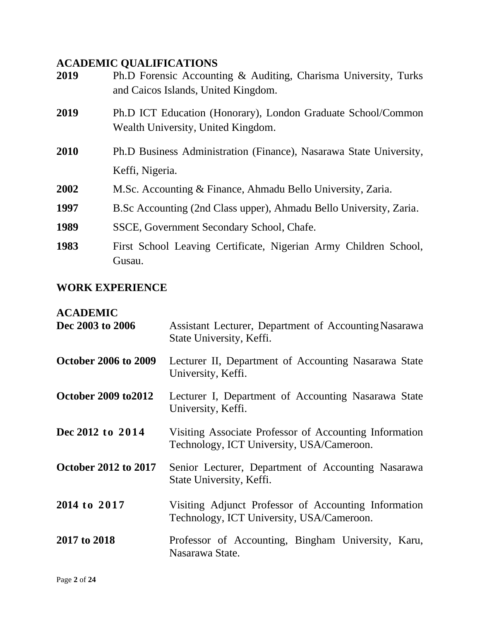# **ACADEMIC QUALIFICATIONS**

| 2019 | Ph.D Forensic Accounting & Auditing, Charisma University, Turks<br>and Caicos Islands, United Kingdom. |  |
|------|--------------------------------------------------------------------------------------------------------|--|
| 2019 | Ph.D ICT Education (Honorary), London Graduate School/Common<br>Wealth University, United Kingdom.     |  |
| 2010 | Ph.D Business Administration (Finance), Nasarawa State University,<br>Keffi, Nigeria.                  |  |
| 2002 | M.Sc. Accounting & Finance, Ahmadu Bello University, Zaria.                                            |  |
| 1997 | B. Sc Accounting (2nd Class upper), Ahmadu Bello University, Zaria.                                    |  |
| 1989 | SSCE, Government Secondary School, Chafe.                                                              |  |
| 1983 | First School Leaving Certificate, Nigerian Army Children School,<br>Gusau.                             |  |

## **WORK EXPERIENCE**

# **ACADEMIC**

| Dec 2003 to 2006            | Assistant Lecturer, Department of Accounting Nasarawa<br>State University, Keffi.                   |
|-----------------------------|-----------------------------------------------------------------------------------------------------|
| <b>October 2006 to 2009</b> | Lecturer II, Department of Accounting Nasarawa State<br>University, Keffi.                          |
| October 2009 to 2012        | Lecturer I, Department of Accounting Nasarawa State<br>University, Keffi.                           |
| Dec 2012 to 2014            | Visiting Associate Professor of Accounting Information<br>Technology, ICT University, USA/Cameroon. |
| <b>October 2012 to 2017</b> | Senior Lecturer, Department of Accounting Nasarawa<br>State University, Keffi.                      |
| 2014 to 2017                | Visiting Adjunct Professor of Accounting Information<br>Technology, ICT University, USA/Cameroon.   |
| 2017 to 2018                | Professor of Accounting, Bingham University, Karu,<br>Nasarawa State.                               |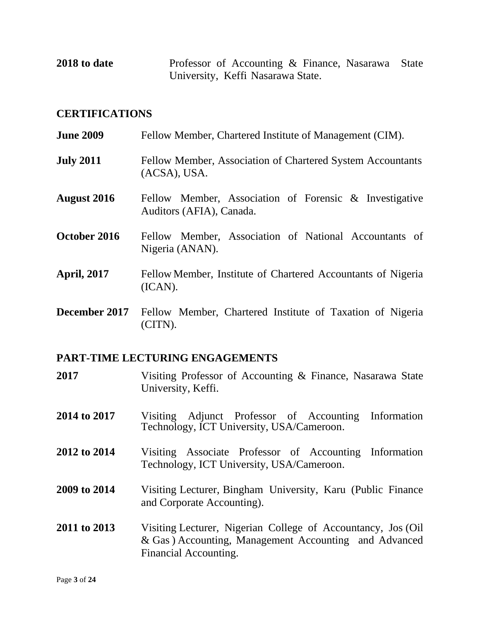**2018 to date** Professor of Accounting & Finance, Nasarawa State University, Keffi Nasarawa State.

#### **CERTIFICATIONS**

| <b>June 2009</b>     | Fellow Member, Chartered Institute of Management (CIM).                            |  |  |
|----------------------|------------------------------------------------------------------------------------|--|--|
| <b>July 2011</b>     | Fellow Member, Association of Chartered System Accountants<br>(ACSA), USA.         |  |  |
| <b>August 2016</b>   | Fellow Member, Association of Forensic & Investigative<br>Auditors (AFIA), Canada. |  |  |
| October 2016         | Fellow Member, Association of National Accountants of<br>Nigeria (ANAN).           |  |  |
| April, 2017          | Fellow Member, Institute of Chartered Accountants of Nigeria<br>(ICAN).            |  |  |
| <b>December 2017</b> | Fellow Member, Chartered Institute of Taxation of Nigeria<br>(CITN).               |  |  |

#### **PART-TIME LECTURING ENGAGEMENTS**

- **2017** Visiting Professor of Accounting & Finance, Nasarawa State University, Keffi.
- **2014 to 2017** Visiting Adjunct Professor of Accounting Information Technology, ICT University, USA/Cameroon.
- **2012 to 2014** Visiting Associate Professor of Accounting Information Technology, ICT University, USA/Cameroon.
- **2009 to 2014** Visiting Lecturer, Bingham University, Karu (Public Finance and Corporate Accounting).
- **2011 to 2013** Visiting Lecturer, Nigerian College of Accountancy, Jos (Oil & Gas ) Accounting, Management Accounting and Advanced Financial Accounting.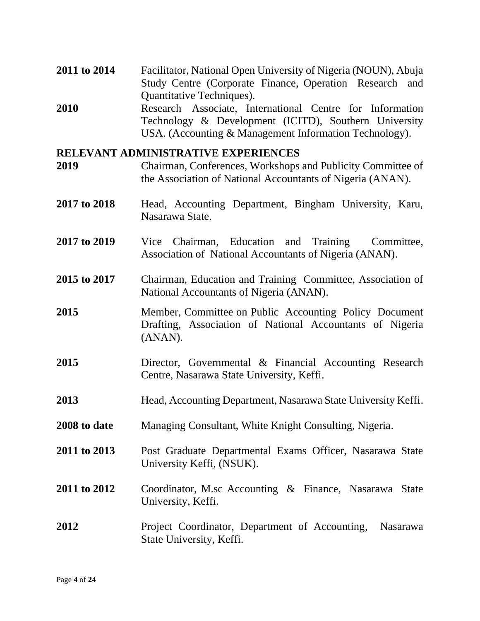- **2011 to 2014** Facilitator, National Open University of Nigeria (NOUN), Abuja Study Centre (Corporate Finance, Operation Research and Quantitative Techniques).
- **2010** Research Associate, International Centre for Information Technology & Development (ICITD), Southern University USA. (Accounting & Management Information Technology).

#### **RELEVANT ADMINISTRATIVE EXPERIENCES**

- **2019** Chairman, Conferences, Workshops and Publicity Committee of the Association of National Accountants of Nigeria (ANAN).
- **2017 to 2018** Head, Accounting Department, Bingham University, Karu, Nasarawa State.
- **2017 to 2019** Vice Chairman, Education and Training Committee, Association of National Accountants of Nigeria (ANAN).
- **2015 to 2017** Chairman, Education and Training Committee, Association of National Accountants of Nigeria (ANAN).
- **2015** Member, Committee on Public Accounting Policy Document Drafting, Association of National Accountants of Nigeria (ANAN).
- **2015** Director, Governmental & Financial Accounting Research Centre, Nasarawa State University, Keffi.
- **2013** Head, Accounting Department, Nasarawa State University Keffi.
- **2008 to date** Managing Consultant, White Knight Consulting, Nigeria.
- **2011 to 2013** Post Graduate Departmental Exams Officer, Nasarawa State University Keffi, (NSUK).
- **2011 to 2012** Coordinator, M.sc Accounting & Finance, Nasarawa State University, Keffi.
- **2012** Project Coordinator, Department of Accounting, Nasarawa State University, Keffi.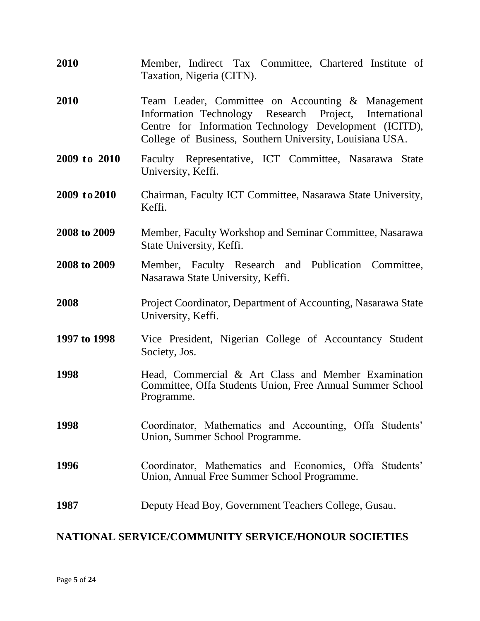| 2010         | Member, Indirect Tax Committee, Chartered Institute of<br>Taxation, Nigeria (CITN).                                                                                                                                               |
|--------------|-----------------------------------------------------------------------------------------------------------------------------------------------------------------------------------------------------------------------------------|
| 2010         | Team Leader, Committee on Accounting & Management<br>Information Technology Research Project, International<br>Centre for Information Technology Development (ICITD),<br>College of Business, Southern University, Louisiana USA. |
| 2009 to 2010 | Faculty Representative, ICT Committee, Nasarawa State<br>University, Keffi.                                                                                                                                                       |
| 2009 to 2010 | Chairman, Faculty ICT Committee, Nasarawa State University,<br>Keffi.                                                                                                                                                             |
| 2008 to 2009 | Member, Faculty Workshop and Seminar Committee, Nasarawa<br>State University, Keffi.                                                                                                                                              |
| 2008 to 2009 | Member, Faculty Research and Publication Committee,<br>Nasarawa State University, Keffi.                                                                                                                                          |
| 2008         | Project Coordinator, Department of Accounting, Nasarawa State<br>University, Keffi.                                                                                                                                               |
| 1997 to 1998 | Vice President, Nigerian College of Accountancy Student<br>Society, Jos.                                                                                                                                                          |
| 1998         | Head, Commercial & Art Class and Member Examination<br>Committee, Offa Students Union, Free Annual Summer School<br>Programme.                                                                                                    |
| 1998         | Coordinator, Mathematics and Accounting, Offa Students'<br>Union, Summer School Programme.                                                                                                                                        |
| 1996         | Coordinator, Mathematics and Economics, Offa Students'<br>Union, Annual Free Summer School Programme.                                                                                                                             |
| 1987         | Deputy Head Boy, Government Teachers College, Gusau.                                                                                                                                                                              |

### **NATIONAL SERVICE/COMMUNITY SERVICE/HONOUR SOCIETIES**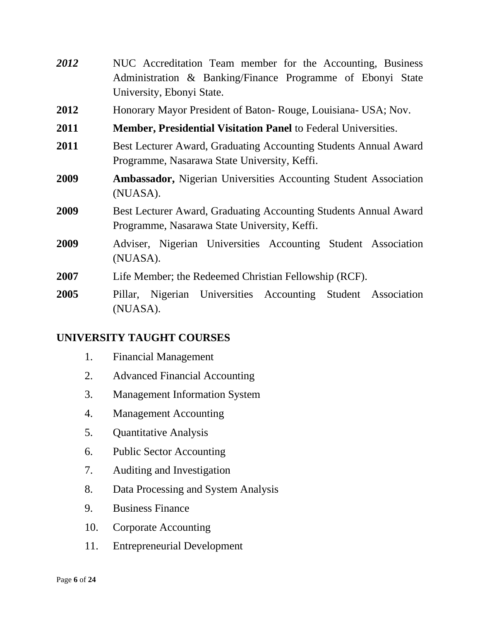| 2012 | NUC Accreditation Team member for the Accounting, Business                                                       |  |  |
|------|------------------------------------------------------------------------------------------------------------------|--|--|
|      | Administration & Banking/Finance Programme of Ebonyi State                                                       |  |  |
|      | University, Ebonyi State.                                                                                        |  |  |
| 2012 | Honorary Mayor President of Baton-Rouge, Louisiana- USA; Nov.                                                    |  |  |
| 2011 | <b>Member, Presidential Visitation Panel to Federal Universities.</b>                                            |  |  |
| 2011 | Best Lecturer Award, Graduating Accounting Students Annual Award<br>Programme, Nasarawa State University, Keffi. |  |  |
| 2009 | <b>Ambassador, Nigerian Universities Accounting Student Association</b><br>(NUASA).                              |  |  |
| 2009 | Best Lecturer Award, Graduating Accounting Students Annual Award<br>Programme, Nasarawa State University, Keffi. |  |  |
| 2009 | Adviser, Nigerian Universities Accounting Student Association<br>(NUASA).                                        |  |  |
| 2007 | Life Member; the Redeemed Christian Fellowship (RCF).                                                            |  |  |
| 2005 | Pillar, Nigerian Universities Accounting Student Association<br>(NUASA).                                         |  |  |

### **UNIVERSITY TAUGHT COURSES**

- 1. Financial Management
- 2. Advanced Financial Accounting
- 3. Management Information System
- 4. Management Accounting
- 5. Quantitative Analysis
- 6. Public Sector Accounting
- 7. Auditing and Investigation
- 8. Data Processing and System Analysis
- 9. Business Finance
- 10. Corporate Accounting
- 11. Entrepreneurial Development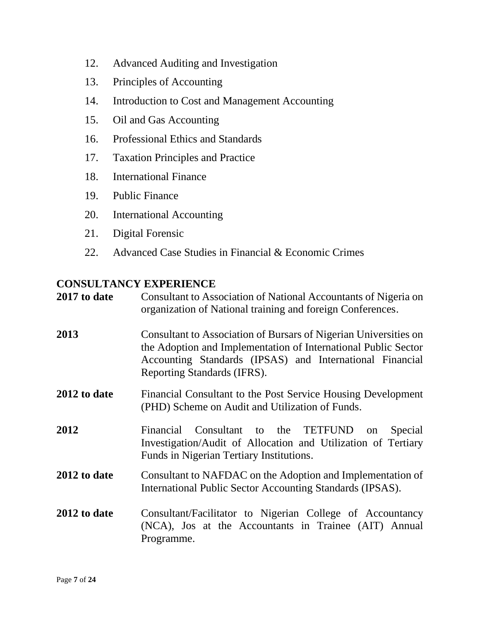- 12. Advanced Auditing and Investigation
- 13. Principles of Accounting
- 14. Introduction to Cost and Management Accounting
- 15. Oil and Gas Accounting
- 16. Professional Ethics and Standards
- 17. Taxation Principles and Practice
- 18. International Finance
- 19. Public Finance
- 20. International Accounting
- 21. Digital Forensic
- 22. Advanced Case Studies in Financial & Economic Crimes

#### **CONSULTANCY EXPERIENCE**

| 2017 to date | Consultant to Association of National Accountants of Nigeria on<br>organization of National training and foreign Conferences.                                                                                                 |
|--------------|-------------------------------------------------------------------------------------------------------------------------------------------------------------------------------------------------------------------------------|
| 2013         | Consultant to Association of Bursars of Nigerian Universities on<br>the Adoption and Implementation of International Public Sector<br>Accounting Standards (IPSAS) and International Financial<br>Reporting Standards (IFRS). |
| 2012 to date | Financial Consultant to the Post Service Housing Development<br>(PHD) Scheme on Audit and Utilization of Funds.                                                                                                               |
| 2012         | Financial Consultant to the TETFUND on<br>Special<br>Investigation/Audit of Allocation and Utilization of Tertiary<br>Funds in Nigerian Tertiary Institutions.                                                                |
| 2012 to date | Consultant to NAFDAC on the Adoption and Implementation of<br>International Public Sector Accounting Standards (IPSAS).                                                                                                       |
| 2012 to date | Consultant/Facilitator to Nigerian College of Accountancy<br>(NCA), Jos at the Accountants in Trainee (AIT) Annual<br>Programme.                                                                                              |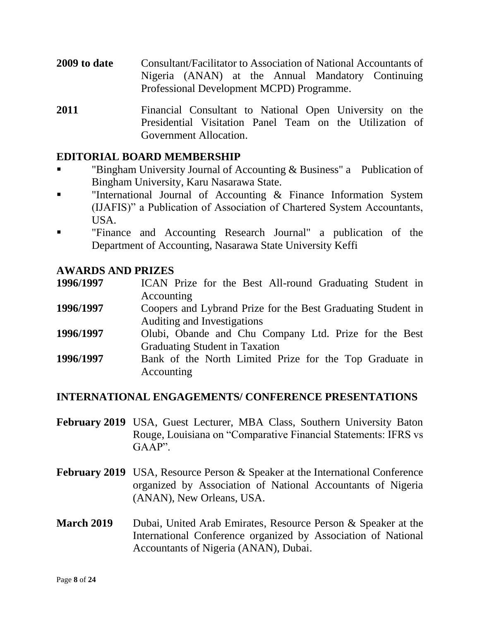- **2009 to date** Consultant/Facilitator to Association of National Accountants of Nigeria (ANAN) at the Annual Mandatory Continuing Professional Development MCPD) Programme.
- **2011** Financial Consultant to National Open University on the Presidential Visitation Panel Team on the Utilization of Government Allocation.

#### **EDITORIAL BOARD MEMBERSHIP**

- "Bingham University Journal of Accounting & Business" a Publication of Bingham University, Karu Nasarawa State.
- "International Journal of Accounting  $\&$  Finance Information System (IJAFIS)" a Publication of Association of Chartered System Accountants, USA.
- "Finance and Accounting Research Journal" a publication of the Department of Accounting, Nasarawa State University Keffi

#### **AWARDS AND PRIZES**

- **1996/1997** ICAN Prize for the Best All-round Graduating Student in Accounting
- **1996/1997** Coopers and Lybrand Prize for the Best Graduating Student in Auditing and Investigations
- **1996/1997** Olubi, Obande and Chu Company Ltd. Prize for the Best Graduating Student in Taxation
- **1996/1997** Bank of the North Limited Prize for the Top Graduate in Accounting

#### **INTERNATIONAL ENGAGEMENTS/ CONFERENCE PRESENTATIONS**

- **February 2019** USA, Guest Lecturer, MBA Class, Southern University Baton Rouge, Louisiana on "Comparative Financial Statements: IFRS vs GAAP".
- **February 2019** USA, Resource Person & Speaker at the International Conference organized by Association of National Accountants of Nigeria (ANAN), New Orleans, USA.
- **March 2019** Dubai, United Arab Emirates, Resource Person & Speaker at the International Conference organized by Association of National Accountants of Nigeria (ANAN), Dubai.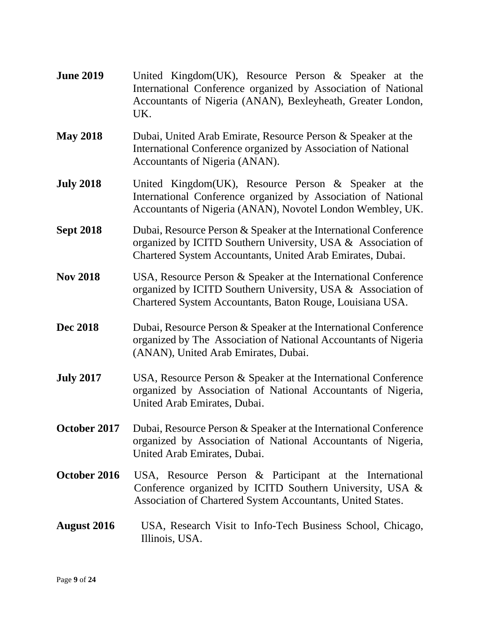| <b>June 2019</b>   | United Kingdom(UK), Resource Person & Speaker at the<br>International Conference organized by Association of National<br>Accountants of Nigeria (ANAN), Bexleyheath, Greater London,<br>UK.    |
|--------------------|------------------------------------------------------------------------------------------------------------------------------------------------------------------------------------------------|
| <b>May 2018</b>    | Dubai, United Arab Emirate, Resource Person & Speaker at the<br>International Conference organized by Association of National<br>Accountants of Nigeria (ANAN).                                |
| <b>July 2018</b>   | United Kingdom(UK), Resource Person & Speaker at the<br>International Conference organized by Association of National<br>Accountants of Nigeria (ANAN), Novotel London Wembley, UK.            |
| <b>Sept 2018</b>   | Dubai, Resource Person & Speaker at the International Conference<br>organized by ICITD Southern University, USA & Association of<br>Chartered System Accountants, United Arab Emirates, Dubai. |
| <b>Nov 2018</b>    | USA, Resource Person & Speaker at the International Conference<br>organized by ICITD Southern University, USA & Association of<br>Chartered System Accountants, Baton Rouge, Louisiana USA.    |
| <b>Dec 2018</b>    | Dubai, Resource Person & Speaker at the International Conference<br>organized by The Association of National Accountants of Nigeria<br>(ANAN), United Arab Emirates, Dubai.                    |
| <b>July 2017</b>   | USA, Resource Person & Speaker at the International Conference<br>organized by Association of National Accountants of Nigeria,<br>United Arab Emirates, Dubai.                                 |
| October 2017       | Dubai, Resource Person & Speaker at the International Conference<br>organized by Association of National Accountants of Nigeria,<br>United Arab Emirates, Dubai.                               |
| October 2016       | USA, Resource Person & Participant at the International<br>Conference organized by ICITD Southern University, USA &<br>Association of Chartered System Accountants, United States.             |
| <b>August</b> 2016 | USA, Research Visit to Info-Tech Business School, Chicago,<br>Illinois, USA.                                                                                                                   |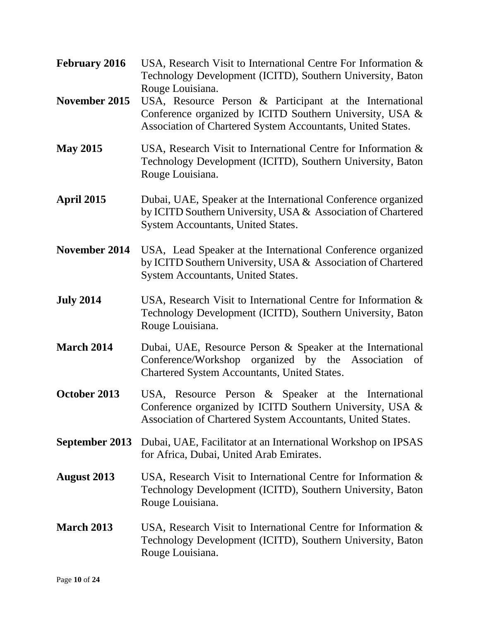- **February 2016** USA, Research Visit to International Centre For Information & Technology Development (ICITD), Southern University, Baton Rouge Louisiana.
- **November 2015** USA, Resource Person & Participant at the International Conference organized by ICITD Southern University, USA & Association of Chartered System Accountants, United States.
- **May 2015** USA, Research Visit to International Centre for Information & Technology Development (ICITD), Southern University, Baton Rouge Louisiana.
- **April 2015** Dubai, UAE, Speaker at the International Conference organized by ICITD Southern University, USA & Association of Chartered System Accountants, United States.
- **November 2014** USA, Lead Speaker at the International Conference organized by ICITD Southern University, USA & Association of Chartered System Accountants, United States.
- **July 2014** USA, Research Visit to International Centre for Information & Technology Development (ICITD), Southern University, Baton Rouge Louisiana.
- **March 2014** Dubai, UAE, Resource Person & Speaker at the International Conference/Workshop organized by the Association of Chartered System Accountants, United States.
- **October 2013** USA, Resource Person & Speaker at the International Conference organized by ICITD Southern University, USA & Association of Chartered System Accountants, United States.
- **September 2013** Dubai, UAE, Facilitator at an International Workshop on IPSAS for Africa, Dubai, United Arab Emirates.
- **August 2013** USA, Research Visit to International Centre for Information & Technology Development (ICITD), Southern University, Baton Rouge Louisiana.
- **March 2013** USA, Research Visit to International Centre for Information & Technology Development (ICITD), Southern University, Baton Rouge Louisiana.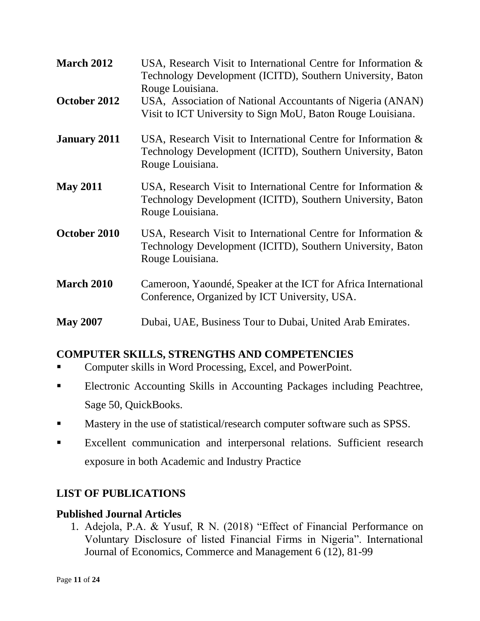| <b>March 2012</b>   | USA, Research Visit to International Centre for Information $\&$<br>Technology Development (ICITD), Southern University, Baton<br>Rouge Louisiana. |
|---------------------|----------------------------------------------------------------------------------------------------------------------------------------------------|
| October 2012        | USA, Association of National Accountants of Nigeria (ANAN)<br>Visit to ICT University to Sign MoU, Baton Rouge Louisiana.                          |
| <b>January 2011</b> | USA, Research Visit to International Centre for Information $\&$<br>Technology Development (ICITD), Southern University, Baton<br>Rouge Louisiana. |
| <b>May 2011</b>     | USA, Research Visit to International Centre for Information $\&$<br>Technology Development (ICITD), Southern University, Baton<br>Rouge Louisiana. |
| October 2010        | USA, Research Visit to International Centre for Information $\&$<br>Technology Development (ICITD), Southern University, Baton<br>Rouge Louisiana. |
| <b>March 2010</b>   | Cameroon, Yaoundé, Speaker at the ICT for Africa International<br>Conference, Organized by ICT University, USA.                                    |
| <b>May 2007</b>     | Dubai, UAE, Business Tour to Dubai, United Arab Emirates.                                                                                          |

### **COMPUTER SKILLS, STRENGTHS AND COMPETENCIES**

- Computer skills in Word Processing, Excel, and PowerPoint.
- **Electronic Accounting Skills in Accounting Packages including Peachtree,** Sage 50, QuickBooks.
- Mastery in the use of statistical/research computer software such as SPSS.
- **Excellent communication and interpersonal relations. Sufficient research** exposure in both Academic and Industry Practice

### **LIST OF PUBLICATIONS**

### **Published Journal Articles**

1. Adejola, P.A. & Yusuf, R N. (2018) "Effect of Financial Performance on Voluntary Disclosure of listed Financial Firms in Nigeria". International Journal of Economics, Commerce and Management 6 (12), 81-99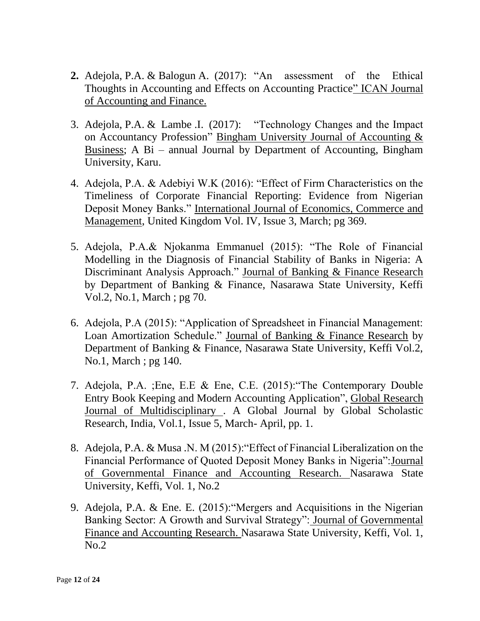- **2.** Adejola, P.A. & Balogun A. (2017): "An assessment of the Ethical Thoughts in Accounting and Effects on Accounting Practice" ICAN Journal of Accounting and Finance.
- 3. Adejola, P.A. & Lambe .I. (2017): "Technology Changes and the Impact on Accountancy Profession" Bingham University Journal of Accounting & Business; A Bi – annual Journal by Department of Accounting, Bingham University, Karu.
- 4. Adejola, P.A. & Adebiyi W.K (2016): "Effect of Firm Characteristics on the Timeliness of Corporate Financial Reporting: Evidence from Nigerian Deposit Money Banks." International Journal of Economics, Commerce and Management, United Kingdom Vol. IV, Issue 3, March; pg 369.
- 5. Adejola, P.A.& Njokanma Emmanuel (2015): "The Role of Financial Modelling in the Diagnosis of Financial Stability of Banks in Nigeria: A Discriminant Analysis Approach." Journal of Banking & Finance Research by Department of Banking & Finance, Nasarawa State University, Keffi Vol.2, No.1, March ; pg 70.
- 6. Adejola, P.A (2015): "Application of Spreadsheet in Financial Management: Loan Amortization Schedule." Journal of Banking & Finance Research by Department of Banking & Finance, Nasarawa State University, Keffi Vol.2, No.1, March ; pg 140.
- 7. Adejola, P.A. ;Ene, E.E & Ene, C.E. (2015):"The Contemporary Double Entry Book Keeping and Modern Accounting Application", Global Research Journal of Multidisciplinary . A Global Journal by Global Scholastic Research, India, Vol.1, Issue 5, March- April, pp. 1.
- 8. Adejola, P.A. & Musa .N. M (2015):"Effect of Financial Liberalization on the Financial Performance of Quoted Deposit Money Banks in Nigeria":Journal of Governmental Finance and Accounting Research. Nasarawa State University, Keffi, Vol. 1, No.2
- 9. Adejola, P.A. & Ene. E. (2015):"Mergers and Acquisitions in the Nigerian Banking Sector: A Growth and Survival Strategy": Journal of Governmental Finance and Accounting Research. Nasarawa State University, Keffi, Vol. 1, No.2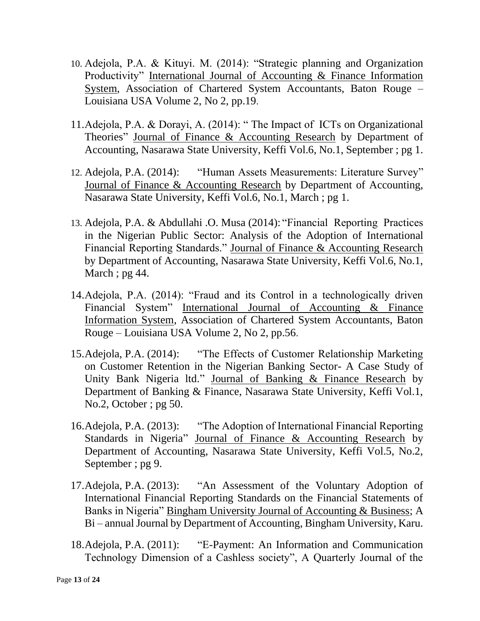- 10. Adejola, P.A. & Kituyi. M. (2014): "Strategic planning and Organization Productivity" International Journal of Accounting & Finance Information System, Association of Chartered System Accountants, Baton Rouge – Louisiana USA Volume 2, No 2, pp.19.
- 11.Adejola, P.A. & Dorayi, A. (2014): " The Impact of ICTs on Organizational Theories" Journal of Finance & Accounting Research by Department of Accounting, Nasarawa State University, Keffi Vol.6, No.1, September ; pg 1.
- 12. Adejola, P.A. (2014): "Human Assets Measurements: Literature Survey" Journal of Finance & Accounting Research by Department of Accounting, Nasarawa State University, Keffi Vol.6, No.1, March ; pg 1.
- 13. Adejola, P.A. & Abdullahi .O. Musa (2014): "Financial Reporting Practices in the Nigerian Public Sector: Analysis of the Adoption of International Financial Reporting Standards." Journal of Finance & Accounting Research by Department of Accounting, Nasarawa State University, Keffi Vol.6, No.1, March ; pg 44.
- 14.Adejola, P.A. (2014): "Fraud and its Control in a technologically driven Financial System" International Journal of Accounting & Finance Information System, Association of Chartered System Accountants, Baton Rouge – Louisiana USA Volume 2, No 2, pp.56.
- 15.Adejola, P.A. (2014): "The Effects of Customer Relationship Marketing on Customer Retention in the Nigerian Banking Sector- A Case Study of Unity Bank Nigeria ltd." Journal of Banking & Finance Research by Department of Banking & Finance, Nasarawa State University, Keffi Vol.1, No.2, October ; pg 50.
- 16.Adejola, P.A. (2013): "The Adoption of International Financial Reporting Standards in Nigeria" Journal of Finance & Accounting Research by Department of Accounting, Nasarawa State University, Keffi Vol.5, No.2, September ; pg 9.
- 17.Adejola, P.A. (2013): "An Assessment of the Voluntary Adoption of International Financial Reporting Standards on the Financial Statements of Banks in Nigeria" Bingham University Journal of Accounting & Business; A Bi – annual Journal by Department of Accounting, Bingham University, Karu.
- 18.Adejola, P.A. (2011): "E-Payment: An Information and Communication Technology Dimension of a Cashless society", A Quarterly Journal of the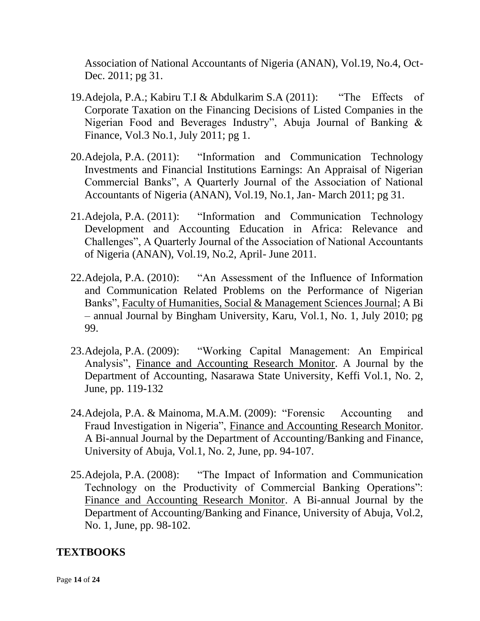Association of National Accountants of Nigeria (ANAN), Vol.19, No.4, Oct-Dec. 2011; pg 31.

- 19.Adejola, P.A.; Kabiru T.I & Abdulkarim S.A (2011): "The Effects of Corporate Taxation on the Financing Decisions of Listed Companies in the Nigerian Food and Beverages Industry", Abuja Journal of Banking & Finance, Vol.3 No.1, July 2011; pg 1.
- 20.Adejola, P.A. (2011): "Information and Communication Technology Investments and Financial Institutions Earnings: An Appraisal of Nigerian Commercial Banks", A Quarterly Journal of the Association of National Accountants of Nigeria (ANAN), Vol.19, No.1, Jan- March 2011; pg 31.
- 21.Adejola, P.A. (2011): "Information and Communication Technology Development and Accounting Education in Africa: Relevance and Challenges", A Quarterly Journal of the Association of National Accountants of Nigeria (ANAN), Vol.19, No.2, April- June 2011.
- 22.Adejola, P.A. (2010): "An Assessment of the Influence of Information and Communication Related Problems on the Performance of Nigerian Banks", Faculty of Humanities, Social & Management Sciences Journal; A Bi – annual Journal by Bingham University, Karu, Vol.1, No. 1, July 2010; pg 99.
- 23.Adejola, P.A. (2009): "Working Capital Management: An Empirical Analysis", Finance and Accounting Research Monitor. A Journal by the Department of Accounting, Nasarawa State University, Keffi Vol.1, No. 2, June, pp. 119-132
- 24.Adejola, P.A. & Mainoma, M.A.M. (2009): "Forensic Accounting and Fraud Investigation in Nigeria", Finance and Accounting Research Monitor. A Bi-annual Journal by the Department of Accounting/Banking and Finance, University of Abuja, Vol.1, No. 2, June, pp. 94-107.
- 25.Adejola, P.A. (2008): "The Impact of Information and Communication Technology on the Productivity of Commercial Banking Operations": Finance and Accounting Research Monitor. A Bi-annual Journal by the Department of Accounting/Banking and Finance, University of Abuja, Vol.2, No. 1, June, pp. 98-102.

### **TEXTBOOKS**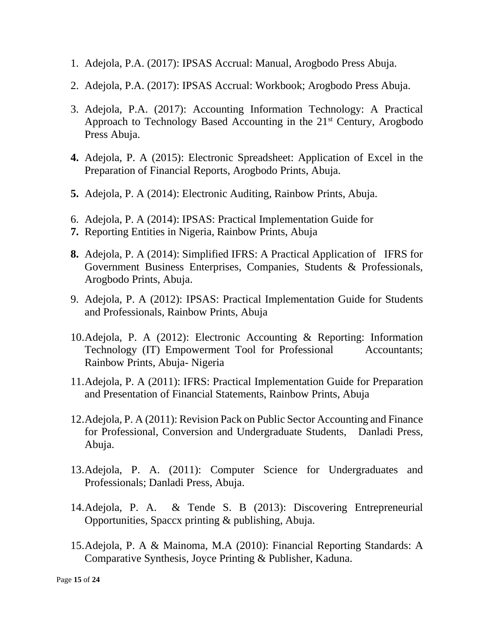- 1. Adejola, P.A. (2017): IPSAS Accrual: Manual, Arogbodo Press Abuja.
- 2. Adejola, P.A. (2017): IPSAS Accrual: Workbook; Arogbodo Press Abuja.
- 3. Adejola, P.A. (2017): Accounting Information Technology: A Practical Approach to Technology Based Accounting in the 21<sup>st</sup> Century, Arogbodo Press Abuja.
- **4.** Adejola, P. A (2015): Electronic Spreadsheet: Application of Excel in the Preparation of Financial Reports, Arogbodo Prints, Abuja.
- **5.** Adejola, P. A (2014): Electronic Auditing, Rainbow Prints, Abuja.
- 6. Adejola, P. A (2014): IPSAS: Practical Implementation Guide for
- **7.** Reporting Entities in Nigeria, Rainbow Prints, Abuja
- **8.** Adejola, P. A (2014): Simplified IFRS: A Practical Application of IFRS for Government Business Enterprises, Companies, Students & Professionals, Arogbodo Prints, Abuja.
- 9. Adejola, P. A (2012): IPSAS: Practical Implementation Guide for Students and Professionals, Rainbow Prints, Abuja
- 10.Adejola, P. A (2012): Electronic Accounting & Reporting: Information Technology (IT) Empowerment Tool for Professional Accountants; Rainbow Prints, Abuja- Nigeria
- 11.Adejola, P. A (2011): IFRS: Practical Implementation Guide for Preparation and Presentation of Financial Statements, Rainbow Prints, Abuja
- 12.Adejola, P. A (2011): Revision Pack on Public Sector Accounting and Finance for Professional, Conversion and Undergraduate Students, Danladi Press, Abuja.
- 13.Adejola, P. A. (2011): Computer Science for Undergraduates and Professionals; Danladi Press, Abuja.
- 14.Adejola, P. A. & Tende S. B (2013): Discovering Entrepreneurial Opportunities, Spaccx printing & publishing, Abuja.
- 15.Adejola, P. A & Mainoma, M.A (2010): Financial Reporting Standards: A Comparative Synthesis, Joyce Printing & Publisher, Kaduna.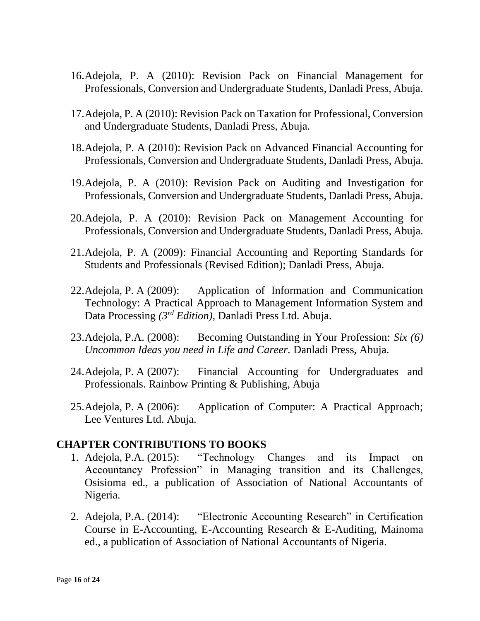- 16.Adejola, P. A (2010): Revision Pack on Financial Management for Professionals, Conversion and Undergraduate Students, Danladi Press, Abuja.
- 17.Adejola, P. A (2010): Revision Pack on Taxation for Professional, Conversion and Undergraduate Students, Danladi Press, Abuja.
- 18.Adejola, P. A (2010): Revision Pack on Advanced Financial Accounting for Professionals, Conversion and Undergraduate Students, Danladi Press, Abuja.
- 19.Adejola, P. A (2010): Revision Pack on Auditing and Investigation for Professionals, Conversion and Undergraduate Students, Danladi Press, Abuja.
- 20.Adejola, P. A (2010): Revision Pack on Management Accounting for Professionals, Conversion and Undergraduate Students, Danladi Press, Abuja.
- 21.Adejola, P. A (2009): Financial Accounting and Reporting Standards for Students and Professionals (Revised Edition); Danladi Press, Abuja.
- 22.Adejola, P. A (2009): Application of Information and Communication Technology: A Practical Approach to Management Information System and Data Processing *(3rd Edition),* Danladi Press Ltd. Abuja.
- 23.Adejola, P.A. (2008): Becoming Outstanding in Your Profession: *Six (6) Uncommon Ideas you need in Life and Career.* Danladi Press, Abuja.
- 24.Adejola, P. A (2007): Financial Accounting for Undergraduates and Professionals. Rainbow Printing & Publishing, Abuja
- 25.Adejola, P. A (2006): Application of Computer: A Practical Approach; Lee Ventures Ltd. Abuja.

#### **CHAPTER CONTRIBUTIONS TO BOOKS**

- 1. Adejola, P.A. (2015): "Technology Changes and its Impact on Accountancy Profession" in Managing transition and its Challenges, Osisioma ed., a publication of Association of National Accountants of Nigeria.
- 2. Adejola, P.A. (2014): "Electronic Accounting Research" in Certification Course in E-Accounting, E-Accounting Research & E-Auditing, Mainoma ed., a publication of Association of National Accountants of Nigeria.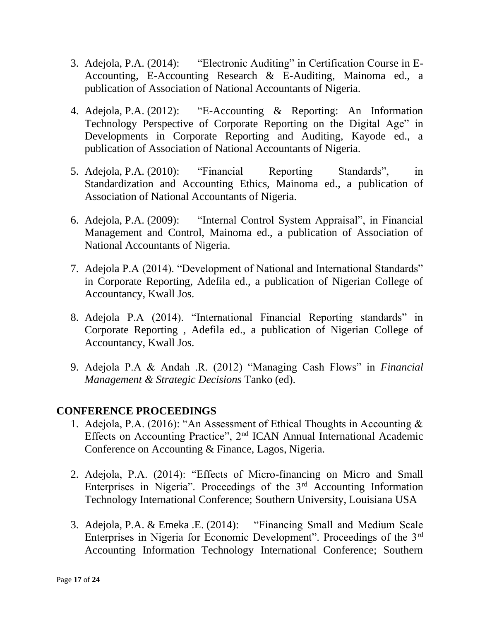- 3. Adejola, P.A. (2014): "Electronic Auditing" in Certification Course in E-Accounting, E-Accounting Research & E-Auditing, Mainoma ed., a publication of Association of National Accountants of Nigeria.
- 4. Adejola, P.A. (2012): "E-Accounting & Reporting: An Information Technology Perspective of Corporate Reporting on the Digital Age" in Developments in Corporate Reporting and Auditing, Kayode ed., a publication of Association of National Accountants of Nigeria.
- 5. Adejola, P.A. (2010): "Financial Reporting Standards", in Standardization and Accounting Ethics, Mainoma ed., a publication of Association of National Accountants of Nigeria.
- 6. Adejola, P.A. (2009): "Internal Control System Appraisal", in Financial Management and Control, Mainoma ed., a publication of Association of National Accountants of Nigeria.
- 7. Adejola P.A (2014). "Development of National and International Standards" in Corporate Reporting, Adefila ed., a publication of Nigerian College of Accountancy, Kwall Jos.
- 8. Adejola P.A (2014). "International Financial Reporting standards" in Corporate Reporting , Adefila ed., a publication of Nigerian College of Accountancy, Kwall Jos.
- 9. Adejola P.A & Andah .R. (2012) "Managing Cash Flows" in *Financial Management & Strategic Decisions* Tanko (ed).

### **CONFERENCE PROCEEDINGS**

- 1. Adejola, P.A. (2016): "An Assessment of Ethical Thoughts in Accounting & Effects on Accounting Practice", 2nd ICAN Annual International Academic Conference on Accounting & Finance, Lagos, Nigeria.
- 2. Adejola, P.A. (2014): "Effects of Micro-financing on Micro and Small Enterprises in Nigeria". Proceedings of the  $3<sup>rd</sup>$  Accounting Information Technology International Conference; Southern University, Louisiana USA
- 3. Adejola, P.A. & Emeka .E. (2014): "Financing Small and Medium Scale Enterprises in Nigeria for Economic Development". Proceedings of the 3rd Accounting Information Technology International Conference; Southern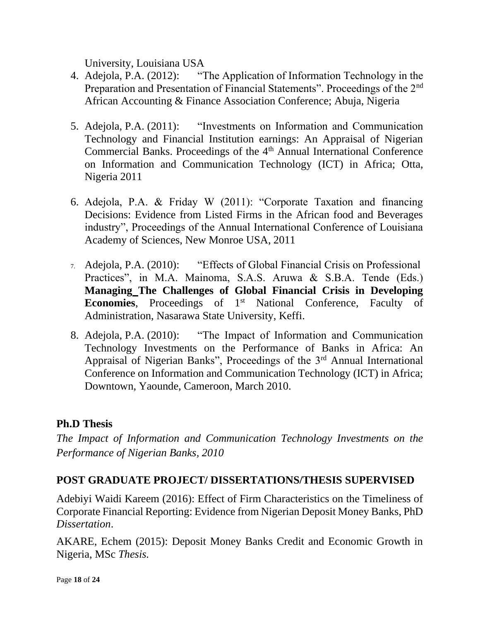University, Louisiana USA

- 4. Adejola, P.A. (2012): "The Application of Information Technology in the Preparation and Presentation of Financial Statements". Proceedings of the 2<sup>nd</sup> African Accounting & Finance Association Conference; Abuja, Nigeria
- 5. Adejola, P.A. (2011): "Investments on Information and Communication Technology and Financial Institution earnings: An Appraisal of Nigerian Commercial Banks. Proceedings of the 4<sup>th</sup> Annual International Conference on Information and Communication Technology (ICT) in Africa; Otta, Nigeria 2011
- 6. Adejola, P.A. & Friday W (2011): "Corporate Taxation and financing Decisions: Evidence from Listed Firms in the African food and Beverages industry", Proceedings of the Annual International Conference of Louisiana Academy of Sciences, New Monroe USA, 2011
- 7. Adejola, P.A. (2010): "Effects of Global Financial Crisis on Professional Practices", in M.A. Mainoma, S.A.S. Aruwa & S.B.A. Tende (Eds.) **Managing The Challenges of Global Financial Crisis in Developing Economies**, Proceedings of 1<sup>st</sup> National Conference, Faculty of Administration, Nasarawa State University, Keffi.
- 8. Adejola, P.A. (2010): "The Impact of Information and Communication Technology Investments on the Performance of Banks in Africa: An Appraisal of Nigerian Banks", Proceedings of the 3<sup>rd</sup> Annual International Conference on Information and Communication Technology (ICT) in Africa; Downtown, Yaounde, Cameroon, March 2010.

## **Ph.D Thesis**

*The Impact of Information and Communication Technology Investments on the Performance of Nigerian Banks, 2010*

### **POST GRADUATE PROJECT/ DISSERTATIONS/THESIS SUPERVISED**

Adebiyi Waidi Kareem (2016): Effect of Firm Characteristics on the Timeliness of Corporate Financial Reporting: Evidence from Nigerian Deposit Money Banks, PhD *Dissertation*.

AKARE, Echem (2015): Deposit Money Banks Credit and Economic Growth in Nigeria, MSc *Thesis.*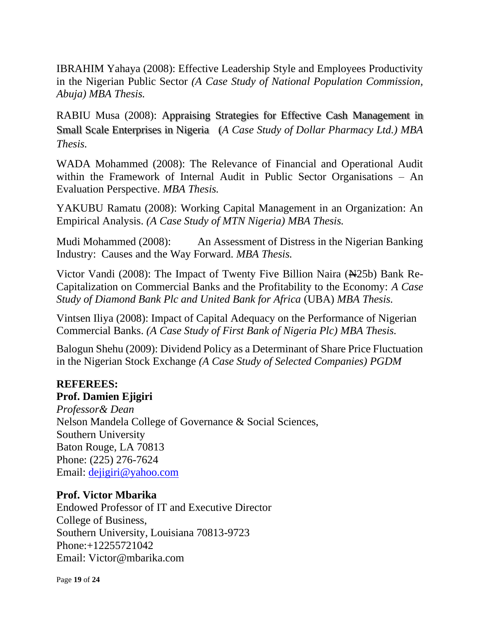IBRAHIM Yahaya (2008): Effective Leadership Style and Employees Productivity in the Nigerian Public Sector *(A Case Study of National Population Commission, Abuja) MBA Thesis.* 

RABIU Musa (2008): Appraising Strategies for Effective Cash Management in Small Scale Enterprises in Nigeria (*A Case Study of Dollar Pharmacy Ltd.) MBA Thesis.*

WADA Mohammed (2008): The Relevance of Financial and Operational Audit within the Framework of Internal Audit in Public Sector Organisations – An Evaluation Perspective. *MBA Thesis.*

YAKUBU Ramatu (2008): Working Capital Management in an Organization: An Empirical Analysis. *(A Case Study of MTN Nigeria) MBA Thesis.*

Mudi Mohammed (2008): An Assessment of Distress in the Nigerian Banking Industry: Causes and the Way Forward. *MBA Thesis.*

Victor Vandi (2008): The Impact of Twenty Five Billion Naira (Ne 25b) Bank Re-Capitalization on Commercial Banks and the Profitability to the Economy: *A Case Study of Diamond Bank Plc and United Bank for Africa* (UBA) *MBA Thesis.*

Vintsen Iliya (2008): Impact of Capital Adequacy on the Performance of Nigerian Commercial Banks. *(A Case Study of First Bank of Nigeria Plc) MBA Thesis.*

Balogun Shehu (2009): Dividend Policy as a Determinant of Share Price Fluctuation in the Nigerian Stock Exchange *(A Case Study of Selected Companies) PGDM* 

## **REFEREES:**

### **Prof. Damien Ejigiri**

*Professor& Dean* Nelson Mandela College of Governance & Social Sciences, Southern University Baton Rouge, LA 70813 Phone: (225) 276-7624 Email: [dejigiri@yahoo.com](mailto:dejigiri@yahoo.com)

### **Prof. Victor Mbarika**

Endowed Professor of IT and Executive Director College of Business, Southern University, Louisiana 70813-9723 Phone:+12255721042 Email: Victor@mbarika.com

Page **19** of **24**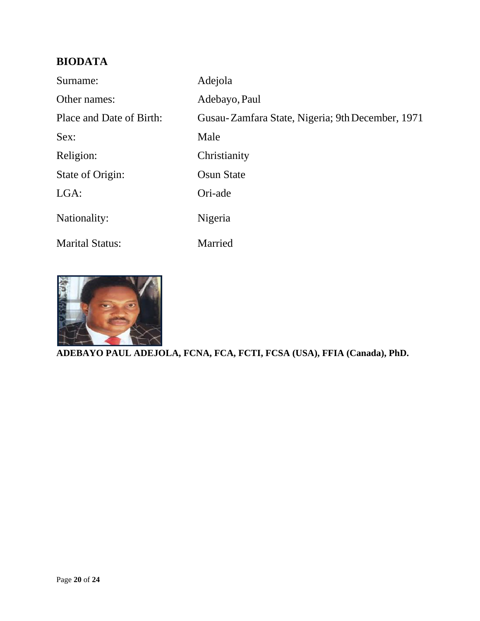# **BIODATA**

| Surname:                 | Adejola                                          |
|--------------------------|--------------------------------------------------|
| Other names:             | Adebayo, Paul                                    |
| Place and Date of Birth: | Gusau-Zamfara State, Nigeria; 9th December, 1971 |
| Sex:                     | Male                                             |
| Religion:                | Christianity                                     |
| State of Origin:         | <b>Osun State</b>                                |
| $LGA$ :                  | Ori-ade                                          |
| Nationality:             | Nigeria                                          |
| <b>Marital Status:</b>   | Married                                          |



**ADEBAYO PAUL ADEJOLA, FCNA, FCA, FCTI, FCSA (USA), FFIA (Canada), PhD.**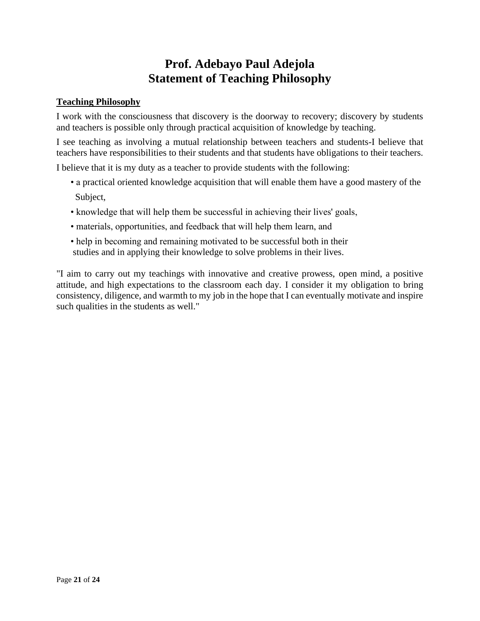# **Prof. Adebayo Paul Adejola Statement of Teaching Philosophy**

#### **Teaching Philosophy**

I work with the consciousness that discovery is the doorway to recovery; discovery by students and teachers is possible only through practical acquisition of knowledge by teaching.

I see teaching as involving a mutual relationship between teachers and students-I believe that teachers have responsibilities to their students and that students have obligations to their teachers.

I believe that it is my duty as a teacher to provide students with the following:

- a practical oriented knowledge acquisition that will enable them have a good mastery of the Subject,
- knowledge that will help them be successful in achieving their lives' goals,
- materials, opportunities, and feedback that will help them learn, and
- help in becoming and remaining motivated to be successful both in their studies and in applying their knowledge to solve problems in their lives.

"I aim to carry out my teachings with innovative and creative prowess, open mind, a positive attitude, and high expectations to the classroom each day. I consider it my obligation to bring consistency, diligence, and warmth to my job in the hope that I can eventually motivate and inspire such qualities in the students as well."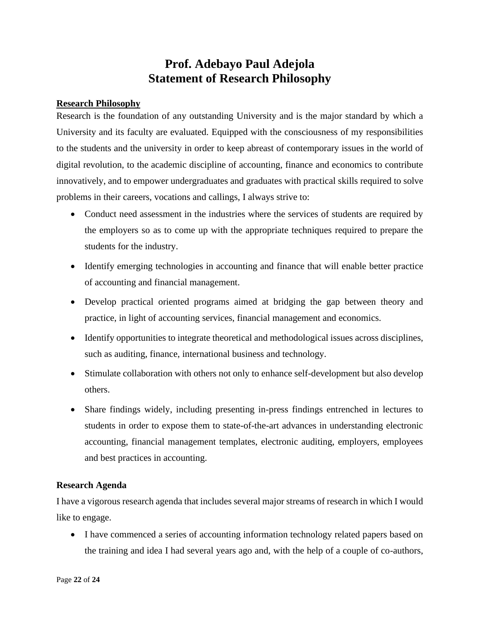## **Prof. Adebayo Paul Adejola Statement of Research Philosophy**

#### **Research Philosophy**

Research is the foundation of any outstanding University and is the major standard by which a University and its faculty are evaluated. Equipped with the consciousness of my responsibilities to the students and the university in order to keep abreast of contemporary issues in the world of digital revolution, to the academic discipline of accounting, finance and economics to contribute innovatively, and to empower undergraduates and graduates with practical skills required to solve problems in their careers, vocations and callings, I always strive to:

- Conduct need assessment in the industries where the services of students are required by the employers so as to come up with the appropriate techniques required to prepare the students for the industry.
- Identify emerging technologies in accounting and finance that will enable better practice of accounting and financial management.
- Develop practical oriented programs aimed at bridging the gap between theory and practice, in light of accounting services, financial management and economics.
- Identify opportunities to integrate theoretical and methodological issues across disciplines, such as auditing, finance, international business and technology.
- Stimulate collaboration with others not only to enhance self-development but also develop others.
- Share findings widely, including presenting in-press findings entrenched in lectures to students in order to expose them to state-of-the-art advances in understanding electronic accounting, financial management templates, electronic auditing, employers, employees and best practices in accounting.

#### **Research Agenda**

I have a vigorous research agenda that includes several major streams of research in which I would like to engage.

• I have commenced a series of accounting information technology related papers based on the training and idea I had several years ago and, with the help of a couple of co-authors,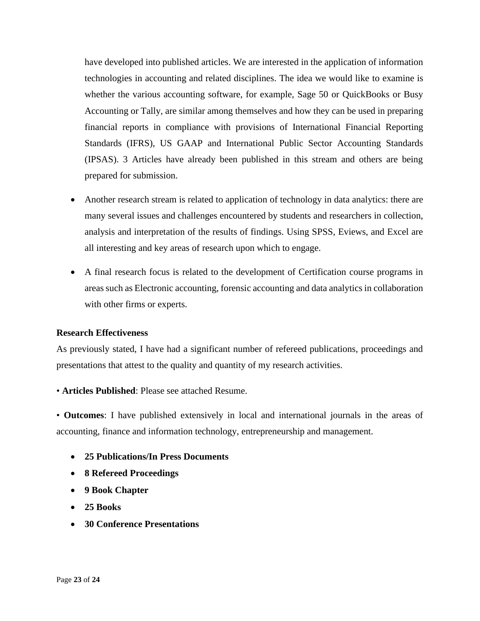have developed into published articles. We are interested in the application of information technologies in accounting and related disciplines. The idea we would like to examine is whether the various accounting software, for example, Sage 50 or QuickBooks or Busy Accounting or Tally, are similar among themselves and how they can be used in preparing financial reports in compliance with provisions of International Financial Reporting Standards (IFRS), US GAAP and International Public Sector Accounting Standards (IPSAS). 3 Articles have already been published in this stream and others are being prepared for submission.

- Another research stream is related to application of technology in data analytics: there are many several issues and challenges encountered by students and researchers in collection, analysis and interpretation of the results of findings. Using SPSS, Eviews, and Excel are all interesting and key areas of research upon which to engage.
- A final research focus is related to the development of Certification course programs in areas such as Electronic accounting, forensic accounting and data analytics in collaboration with other firms or experts.

#### **Research Effectiveness**

As previously stated, I have had a significant number of refereed publications, proceedings and presentations that attest to the quality and quantity of my research activities.

• **Articles Published**: Please see attached Resume.

• **Outcomes**: I have published extensively in local and international journals in the areas of accounting, finance and information technology, entrepreneurship and management.

- **25 Publications/In Press Documents**
- **8 Refereed Proceedings**
- **9 Book Chapter**
- **25 Books**
- **30 Conference Presentations**